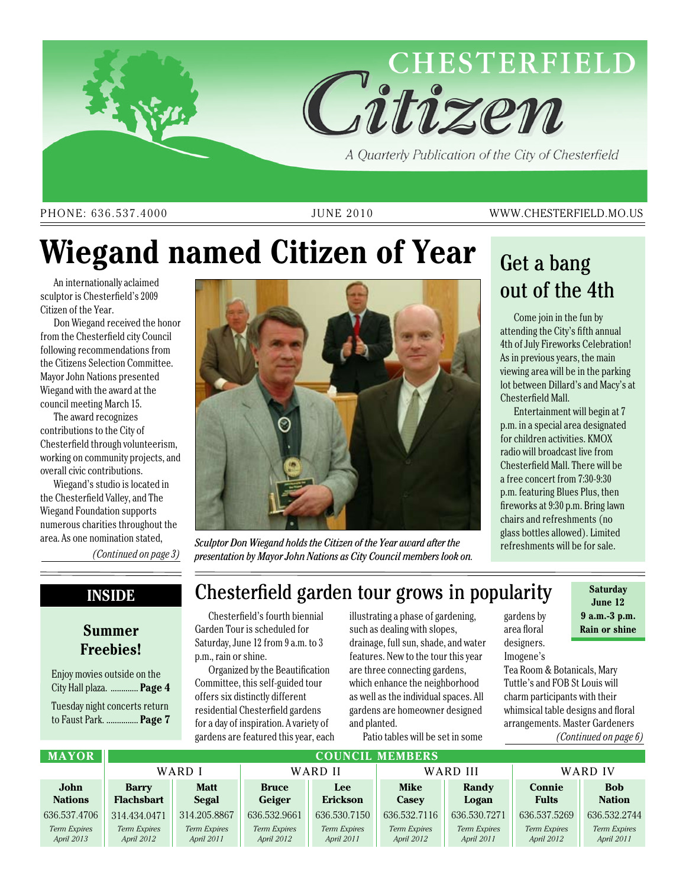

#### PHONE: 636.537.4000 JUNE 2010 WWW.CHESTERFIELD.MO.US

# **Wiegand named Citizen of Year**

An internationally aclaimed sculptor is Chesterfield's 2009 Citizen of the Year.

Don Wiegand received the honor from the Chesterfield city Council following recommendations from the Citizens Selection Committee. Mayor John Nations presented Wiegand with the award at the council meeting March 15.

The award recognizes contributions to the City of Chesterfield through volunteerism, working on community projects, and overall civic contributions.

Wiegand's studio is located in the Chesterfield Valley, and The Wiegand Foundation supports numerous charities throughout the area. As one nomination stated,

*(Continued on page 3)*

#### **Inside**

### **Summer Freebies!**

Enjoy movies outside on the City Hall plaza. ............. **Page 4** Tuesday night concerts return

to Faust Park. ............... **Page 7**



*Sculptor Don Wiegand holds the Citizen of the Year award after the presentation by Mayor John Nations as City Council members look on.*

## Get a bang out of the 4th

Come join in the fun by attending the City's fifth annual 4th of July Fireworks Celebration! As in previous years, the main viewing area will be in the parking lot between Dillard's and Macy's at Chesterfield Mall.

Entertainment will begin at 7 p.m. in a special area designated for children activities. KMOX radio will broadcast live from Chesterfield Mall. There will be a free concert from 7:30-9:30 p.m. featuring Blues Plus, then fireworks at 9:30 p.m. Bring lawn chairs and refreshments (no glass bottles allowed). Limited refreshments will be for sale.

gardens by area floral designers.

Imogene's

**June 12 9 a.m.-3 p.m. Rain or shine**

### Chesterfield garden tour grows in popularity **Saturday**

Chesterfield's fourth biennial Garden Tour is scheduled for Saturday, June 12 from 9 a.m. to 3 p.m., rain or shine.

Organized by the Beautification Committee, this self-guided tour offers six distinctly different residential Chesterfield gardens for a day of inspiration. A variety of gardens are featured this year, each

illustrating a phase of gardening, such as dealing with slopes, drainage, full sun, shade, and water features. New to the tour this year are three connecting gardens, which enhance the neighborhood as well as the individual spaces. All gardens are homeowner designed and planted.

Patio tables will be set in some

Tea Room & Botanicals, Mary Tuttle's and FOB St Louis will charm participants with their whimsical table designs and floral arrangements. Master Gardeners *(Continued on page 6)*

| <b>MAYOR</b>   | <b>COUNCIL MEMBERS</b> |                     |              |                     |                     |                     |               |                     |
|----------------|------------------------|---------------------|--------------|---------------------|---------------------|---------------------|---------------|---------------------|
|                | WARD I                 |                     | WARD II      |                     | WARD III            |                     | WARD IV       |                     |
| John           | <b>Barry</b>           | <b>Matt</b>         | <b>Bruce</b> | <b>Lee</b>          | <b>Mike</b>         | Randy               | <b>Connie</b> | <b>Bob</b>          |
| <b>Nations</b> | <b>Flachsbart</b>      | <b>Segal</b>        | Geiger       | <b>Erickson</b>     | <b>Casey</b>        | Logan               | <b>Fults</b>  | <b>Nation</b>       |
| 636.537.4706   | 314.434.0471           | 314.205.8867        | 636.532.9661 | 636, 530, 7150      | 636.532.7116        | 636.530.7271        | 636.537.5269  | 636.532.2744        |
| Term Expires   | Term Expires           | <b>Term Expires</b> | Term Expires | <b>Term Expires</b> | <b>Term Expires</b> | <b>Term Expires</b> | Term Expires  | <b>Term Expires</b> |
| April 2013     | April 2012             | April 2011          | April 2012   | April 2011          | April 2012          | April 2011          | April 2012    | April 2011          |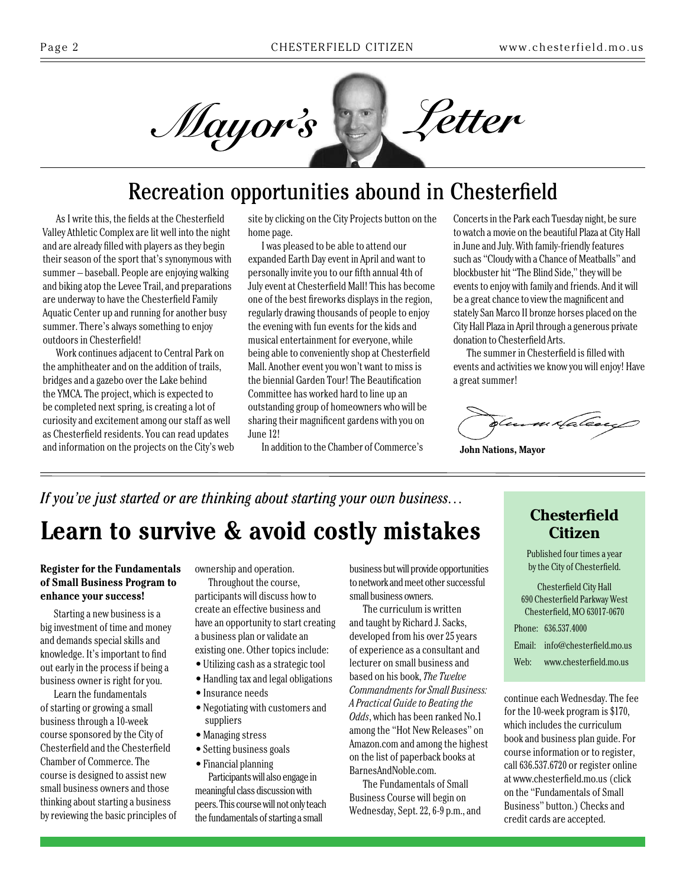

### Recreation opportunities abound in Chesterfield

As I write this, the fields at the Chesterfield Valley Athletic Complex are lit well into the night and are already filled with players as they begin their season of the sport that's synonymous with summer – baseball. People are enjoying walking and biking atop the Levee Trail, and preparations are underway to have the Chesterfield Family Aquatic Center up and running for another busy summer. There's always something to enjoy outdoors in Chesterfield!

Work continues adjacent to Central Park on the amphitheater and on the addition of trails, bridges and a gazebo over the Lake behind the YMCA. The project, which is expected to be completed next spring, is creating a lot of curiosity and excitement among our staff as well as Chesterfield residents. You can read updates and information on the projects on the City's web

site by clicking on the City Projects button on the home page.

I was pleased to be able to attend our expanded Earth Day event in April and want to personally invite you to our fifth annual 4th of July event at Chesterfield Mall! This has become one of the best fireworks displays in the region, regularly drawing thousands of people to enjoy the evening with fun events for the kids and musical entertainment for everyone, while being able to conveniently shop at Chesterfield Mall. Another event you won't want to miss is the biennial Garden Tour! The Beautification Committee has worked hard to line up an outstanding group of homeowners who will be sharing their magnificent gardens with you on June 12!

In addition to the Chamber of Commerce's

Concerts in the Park each Tuesday night, be sure to watch a movie on the beautiful Plaza at City Hall in June and July. With family-friendly features such as "Cloudy with a Chance of Meatballs" and blockbuster hit "The Blind Side," they will be events to enjoy with family and friends. And it will be a great chance to view the magnificent and stately San Marco II bronze horses placed on the City Hall Plaza in April through a generous private donation to Chesterfield Arts.

The summer in Chesterfield is filled with events and activities we know you will enjoy! Have a great summer!

n ztale

**John Nations, Mayor**

## *If you've just started or are thinking about starting your own business…* **Learn to survive & avoid costly mistakes**

#### **Register for the Fundamentals of Small Business Program to enhance your success!**

Starting a new business is a big investment of time and money and demands special skills and knowledge. It's important to find out early in the process if being a business owner is right for you.

Learn the fundamentals of starting or growing a small business through a 10-week course sponsored by the City of Chesterfield and the Chesterfield Chamber of Commerce. The course is designed to assist new small business owners and those thinking about starting a business by reviewing the basic principles of ownership and operation.

Throughout the course, participants will discuss how to create an effective business and have an opportunity to start creating a business plan or validate an existing one. Other topics include:

• Utilizing cash as a strategic tool

- Handling tax and legal obligations
- 
- Insurance needs
- Negotiating with customers and suppliers
- Managing stress
- Setting business goals
- Financial planning

Participants will also engage in meaningful class discussion with peers. This course will not only teach the fundamentals of starting a small

business but will provide opportunities to network and meet other successful small business owners.

The curriculum is written and taught by Richard J. Sacks, developed from his over 25 years of experience as a consultant and lecturer on small business and based on his book, *The Twelve Commandments for Small Business: A Practical Guide to Beating the Odds*, which has been ranked No.1 among the "Hot New Releases" on Amazon.com and among the highest on the list of paperback books at BarnesAndNoble.com.

The Fundamentals of Small Business Course will begin on Wednesday, Sept. 22, 6-9 p.m., and

### **Chesterfield Citizen**

Published four times a year by the City of Chesterfield.

Chesterfield City Hall 690 Chesterfield Parkway West Chesterfield, MO 63017-0670 Phone: 636.537.4000

Email: info@chesterfield.mo.us

Web: www.chesterfield.mo.us

continue each Wednesday. The fee for the 10-week program is \$170, which includes the curriculum book and business plan guide. For course information or to register, call 636.537.6720 or register online at www.chesterfield.mo.us(click on the "Fundamentals of Small Business" button.) Checks and credit cards are accepted.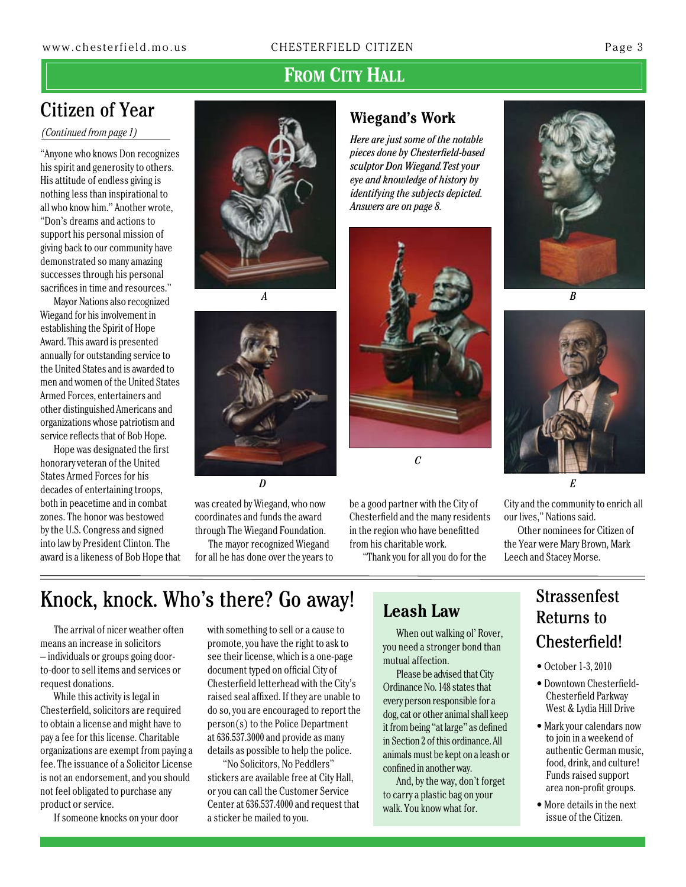### FROM CITY HALL

### Citizen of Year

*(Continued from page 1)*

"Anyone who knows Don recognizes his spirit and generosity to others. His attitude of endless giving is nothing less than inspirational to all who know him." Another wrote, "Don's dreams and actions to support his personal mission of giving back to our community have demonstrated so many amazing successes through his personal sacrifices in time and resources."

Mayor Nations also recognized Wiegand for his involvement in establishing the Spirit of Hope Award. This award is presented annually for outstanding service to the United States and is awarded to men and women of the United States Armed Forces, entertainers and other distinguished Americans and organizations whose patriotism and service reflects that of Bob Hope.

Hope was designated the first honorary veteran of the United States Armed Forces for his decades of entertaining troops, both in peacetime and in combat zones. The honor was bestowed by the U.S. Congress and signed into law by President Clinton. The award is a likeness of Bob Hope that



*A*



was created by Wiegand, who now coordinates and funds the award through The Wiegand Foundation.

The mayor recognized Wiegand for all he has done over the years to

### **Wiegand's Work**

*Here are just some of the notable pieces done by Chesterfield-based sculptor Don Wiegand.Test your eye and knowledge of history by identifying the subjects depicted. Answers are on page 8.*



be a good partner with the City of Chesterfield and the many residents in the region who have benefitted from his charitable work.

"Thank you for all you do for the





*E*

City and the community to enrich all our lives," Nations said.

Other nominees for Citizen of the Year were Mary Brown, Mark Leech and Stacey Morse.

### Knock, knock. Who's there? Go away!

The arrival of nicer weather often means an increase in solicitors – individuals or groups going doorto-door to sell items and services or request donations.

While this activity is legal in Chesterfield, solicitors are required to obtain a license and might have to pay a fee for this license. Charitable organizations are exempt from paying a fee. The issuance of a Solicitor License is not an endorsement, and you should not feel obligated to purchase any product or service.

If someone knocks on your door

with something to sell or a cause to promote, you have the right to ask to see their license, which is a one-page document typed on official City of Chesterfield letterhead with the City's raised seal affixed. If they are unable to do so, you are encouraged to report the person(s) to the Police Department at 636.537.3000 and provide as many details as possible to help the police.

 "No Solicitors, No Peddlers" stickers are available free at City Hall, or you can call the Customer Service Center at 636.537.4000 and request that a sticker be mailed to you.

### **Leash Law**

When out walking ol' Rover, you need a stronger bond than mutual affection.

Please be advised that City Ordinance No. 148 states that every person responsible for a dog, cat or other animal shall keep it from being "at large" as defined in Section 2 of this ordinance. All animals must be kept on a leash or confined in another way.

And, by the way, don't forget to carry a plastic bag on your walk. You know what for.

### Strassenfest Returns to Chesterfield!

- October 1-3, 2010
- Downtown Chesterfield-Chesterfield Parkway West & Lydia Hill Drive
- Mark your calendars now to join in a weekend of authentic German music, food, drink, and culture! Funds raised support area non-profit groups.
- More details in the next issue of the Citizen.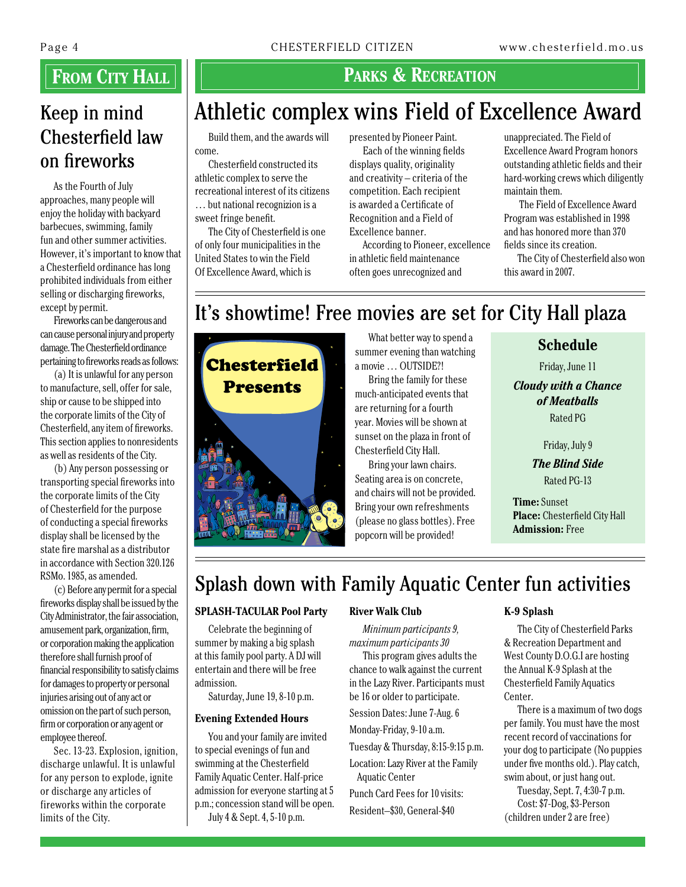### Keep in mind Chesterfield law on fireworks

As the Fourth of July approaches, many people will enjoy the holiday with backyard barbecues, swimming, family fun and other summer activities. However, it's important to know that a Chesterfield ordinance has long prohibited individuals from either selling or discharging fireworks, except by permit.

Fireworks can be dangerous and can cause personal injury and property damage. The Chesterfield ordinance pertaining to fireworks reads as follows:

(a) It is unlawful for any person to manufacture, sell, offer for sale, ship or cause to be shipped into the corporate limits of the City of Chesterfield, any item of fireworks. This section applies to nonresidents as well as residents of the City.

(b) Any person possessing or transporting special fireworks into the corporate limits of the City of Chesterfield for the purpose of conducting a special fireworks display shall be licensed by the state fire marshal as a distributor in accordance with Section 320.126 RSMo. 1985, as amended.

(c) Before any permit for a special fireworks display shall be issued by the City Administrator, the fair association, amusement park, organization, firm, or corporation making the application therefore shall furnish proof of financial responsibility to satisfy claims for damages to property or personal injuries arising out of any act or omission on the part of such person, firm or corporation or any agent or employee thereof.

Sec. 13-23. Explosion, ignition, discharge unlawful. It is unlawful for any person to explode, ignite or discharge any articles of fireworks within the corporate limits of the City.

### **FROM CITY HALL PARKS & RECREATION**

## Athletic complex wins Field of Excellence Award

Build them, and the awards will come.

Chesterfield constructed its athletic complex to serve the recreational interest of its citizens … but national recognizion is a sweet fringe benefit.

The City of Chesterfield is one of only four municipalities in the United States to win the Field Of Excellence Award, which is

presented by Pioneer Paint. Each of the winning fields

displays quality, originality and creativity – criteria of the competition. Each recipient is awarded a Certificate of Recognition and a Field of Excellence banner.

According to Pioneer, excellence in athletic field maintenance often goes unrecognized and

unappreciated. The Field of Excellence Award Program honors outstanding athletic fields and their hard-working crews which diligently maintain them.

 The Field of Excellence Award Program was established in 1998 and has honored more than 370 fields since its creation.

The City of Chesterfield also won this award in 2007.

## It's showtime! Free movies are set for City Hall plaza



What better way to spend a summer evening than watching a movie … OUTSIDE?!

Bring the family for these much-anticipated events that are returning for a fourth year. Movies will be shown at sunset on the plaza in front of Chesterfield City Hall.

Bring your lawn chairs. Seating area is on concrete, and chairs will not be provided. Bring your own refreshments (please no glass bottles). Free popcorn will be provided!

### **Schedule**

Friday, June 11

*Cloudy with a Chance of Meatballs* Rated PG

Friday, July 9

*The Blind Side* Rated PG-13

**Time:** Sunset **Place:** Chesterfield City Hall **Admission:** Free

## Splash down with Family Aquatic Center fun activities

#### **SPLASH-TACULAR Pool Party**

Celebrate the beginning of summer by making a big splash at this family pool party. A DJ will entertain and there will be free admission.

Saturday, June 19, 8-10 p.m.

#### **Evening Extended Hours**

You and your family are invited to special evenings of fun and swimming at the Chesterfield Family Aquatic Center. Half-price admission for everyone starting at 5 p.m.; concession stand will be open. July 4 & Sept. 4, 5-10 p.m.

#### **River Walk Club**

*Minimum participants 9, maximum participants 30* 

This program gives adults the chance to walk against the current in the Lazy River. Participants must be 16 or older to participate.

Session Dates: June 7-Aug. 6

Monday-Friday, 9-10 a.m.

Tuesday & Thursday, 8:15-9:15 p.m.

Location: Lazy River at the Family

Aquatic Center Punch Card Fees for 10 visits:

Resident–\$30, General-\$40

#### **K-9 Splash**

The City of Chesterfield Parks & Recreation Department and West County D.O.G.I are hosting the Annual K-9 Splash at the Chesterfield Family Aquatics Center.

There is a maximum of two dogs per family. You must have the most recent record of vaccinations for your dog to participate (No puppies under five months old.). Play catch, swim about, or just hang out.

Tuesday, Sept. 7, 4:30-7 p.m. Cost: \$7-Dog, \$3-Person (children under 2 are free)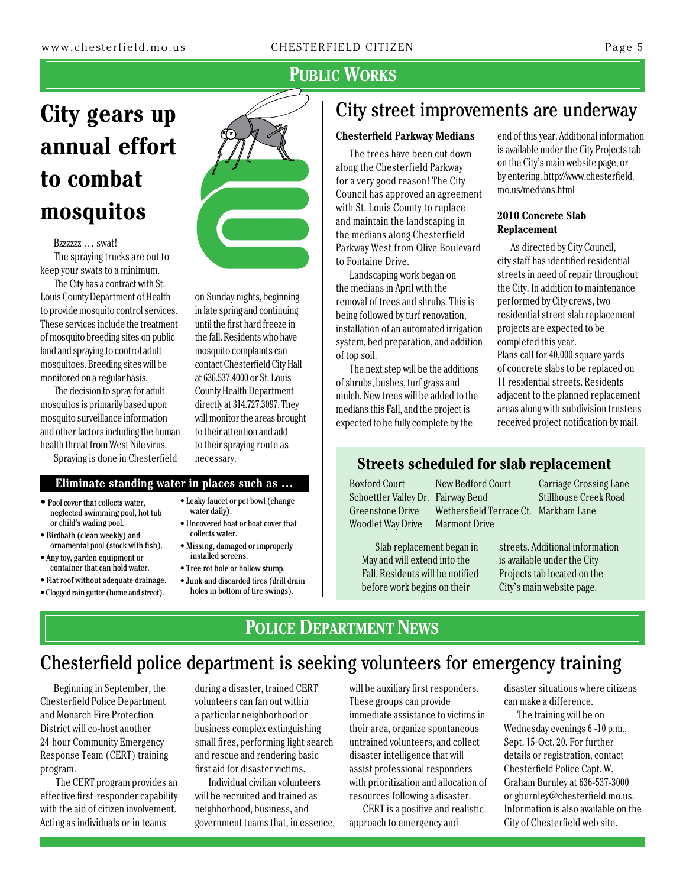### **Public Works**

# **City gears up annual effort to combat mosquitos**

#### Bzzzzzz … swat! The spraying trucks are out to keep your swats to a minimum.

The City has a contract with St. Louis County Department of Health to provide mosquito control services. These services include the treatment of mosquito breeding sites on public land and spraying to control adult mosquitoes. Breeding sites will be monitored on a regular basis.

The decision to spray for adult mosquitos is primarily based upon mosquito surveillance information and other factors including the human health threat from West Nile virus.

Spraying is done in Chesterfield

#### **Eliminate standing water in places such as …**

- Pool cover that collects water, neglected swimming pool, hot tub or child's wading pool.
- Birdbath (clean weekly) and ornamental pool (stock with fish).
- Any toy, garden equipment or container that can hold water.
- Flat roof without adequate drainage.
- Clogged rain gutter (home and street).



on Sunday nights, beginning in late spring and continuing until the first hard freeze in the fall. Residents who have mosquito complaints can contact Chesterfield City Hall at 636.537.4000 or St. Louis County Health Department directly at 314.727.3097. They will monitor the areas brought to their attention and add to their spraying route as necessary.

- Leaky faucet or pet bowl (change water daily).
- Uncovered boat or boat cover that collects water.
- Missing, damaged or improperly installed screens.
- Tree rot hole or hollow stump.
- Junk and discarded tires (drill drain holes in bottom of tire swings).

### City street improvements are underway

#### **Chesterfield Parkway Medians**

The trees have been cut down along the Chesterfield Parkway for a very good reason! The City Council has approved an agreement with St. Louis County to replace and maintain the landscaping in the medians along Chesterfield Parkway West from Olive Boulevard to Fontaine Drive.

Landscaping work began on the medians in April with the removal of trees and shrubs. This is being followed by turf renovation, installation of an automated irrigation system, bed preparation, and addition of top soil.

The next step will be the additions of shrubs, bushes, turf grass and mulch. New trees will be added to the medians this Fall, and the project is expected to be fully complete by the

end of this year. Additional information is available under the City Projects tab on the City's main website page, or by entering, http://www.chesterfield. mo.us/medians.html

#### **2010 Concrete Slab Replacement**

As directed by City Council, city staff has identified residential streets in need of repair throughout the City. In addition to maintenance performed by City crews, two residential street slab replacement projects are expected to be completed this year. Plans call for 40,000 square yards of concrete slabs to be replaced on 11 residential streets. Residents adjacent to the planned replacement areas along with subdivision trustees received project notification by mail.

### **Streets scheduled for slab replacement**

Woodlet Way Drive Marmont Drive

Boxford Court New Bedford Court Carriage Crossing Lane Schoettler Valley Dr. Fairway Bend Stillhouse Creek Road Greenstone Drive Wethersfield Terrace Ct. Markham Lane

Slab replacement began in May and will extend into the Fall. Residents will be notified before work begins on their

streets. Additional information is available under the City Projects tab located on the City's main website page.

### **POLICE DEPARTMENT NEWS**

### Chesterfield police department is seeking volunteers for emergency training

Beginning in September, the Chesterfield Police Department and Monarch Fire Protection District will co-host another 24-hour Community Emergency Response Team (CERT) training program.

 The CERT program provides an effective first-responder capability with the aid of citizen involvement. Acting as individuals or in teams

during a disaster, trained CERT volunteers can fan out within a particular neighborhood or business complex extinguishing small fires, performing light search and rescue and rendering basic first aid for disaster victims.

Individual civilian volunteers will be recruited and trained as neighborhood, business, and government teams that, in essence,

will be auxiliary first responders. These groups can provide immediate assistance to victims in their area, organize spontaneous untrained volunteers, and collect disaster intelligence that will assist professional responders with prioritization and allocation of resources following a disaster.

CERT is a positive and realistic approach to emergency and

disaster situations where citizens can make a difference.

The training will be on Wednesday evenings 6 -10 p.m., Sept. 15-Oct. 20. For further details or registration, contact Chesterfield Police Capt. W. Graham Burnley at 636-537-3000 or gburnley@chesterfield.mo.us. Information is also available on the City of Chesterfield web site.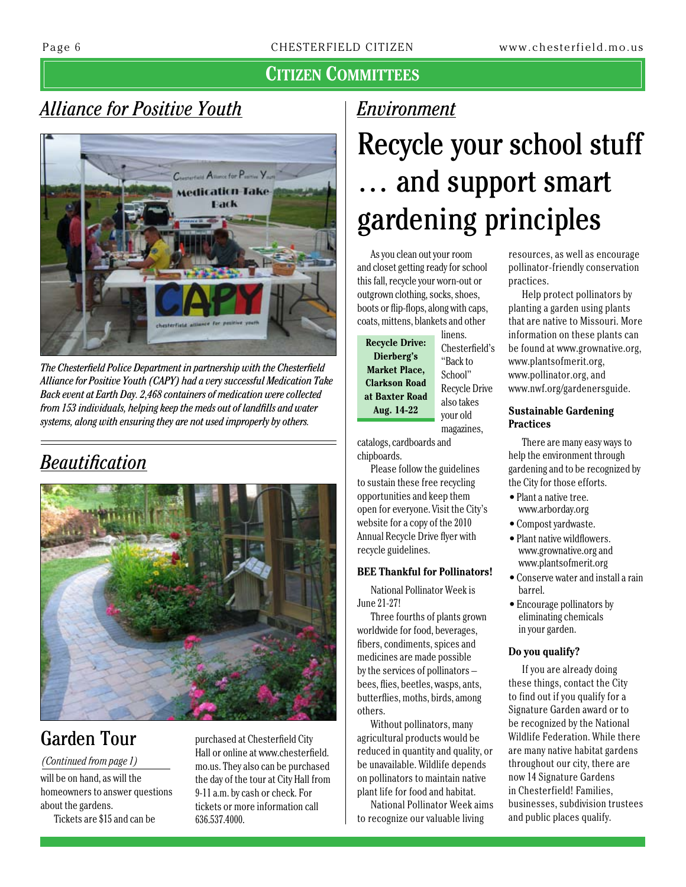### **Citizen Committees**

### *Alliance for Positive Youth*



*The Chesterfield Police Department in partnership with the Chesterfield Alliance for Positive Youth (CAPY) had a very successful Medication Take Back event at Earth Day. 2,468 containers of medication were collected from 153 individuals, helping keep the meds out of landfills and water systems, along with ensuring they are not used improperly by others.*

## *Beautification*



### Garden Tour

#### *(Continued from page 1)*

will be on hand, as will the homeowners to answer questions about the gardens.

Tickets are \$15 and can be

purchased at Chesterfield City Hall or online at www.chesterfield. mo.us. They also can be purchased the day of the tour at City Hall from 9-11 a.m. by cash or check. For tickets or more information call 636.537.4000.

### *Environment*

# Recycle your school stuff … and support smart gardening principles

As you clean out your room and closet getting ready for school this fall, recycle your worn-out or outgrown clothing, socks, shoes, boots or flip-flops, along with caps, coats, mittens, blankets and other

**Recycle Drive: Dierberg's Market Place, Clarkson Road at Baxter Road Aug. 14-22**

linens. Chesterfield's "Back to School" Recycle Drive also takes your old magazines,

catalogs, cardboards and

chipboards. Please follow the guidelines to sustain these free recycling opportunities and keep them open for everyone. Visit the City's website for a copy of the 2010 Annual Recycle Drive flyer with recycle guidelines.

#### **BEE Thankful for Pollinators!**

National Pollinator Week is June 21-27!

Three fourths of plants grown worldwide for food, beverages, fibers, condiments, spices and medicines are made possible by the services of pollinators – bees, flies, beetles, wasps, ants, butterflies, moths, birds, among others.

Without pollinators, many agricultural products would be reduced in quantity and quality, or be unavailable. Wildlife depends on pollinators to maintain native plant life for food and habitat.

National Pollinator Week aims to recognize our valuable living

resources, as well as encourage pollinator-friendly conservation practices.

Help protect pollinators by planting a garden using plants that are native to Missouri. More information on these plants can be found at www.grownative.org, www.plantsofmerit.org, www.pollinator.org, and www.nwf.org/gardenersguide.

#### **Sustainable Gardening Practices**

There are many easy ways to help the environment through gardening and to be recognized by the City for those efforts.

- Plant a native tree. www.arborday.org
- Compost yardwaste.
- Plant native wildflowers. www.grownative.org and www.plantsofmerit.org
- Conserve water and install a rain barrel.
- Encourage pollinators by eliminating chemicals in your garden.

#### **Do you qualify?**

If you are already doing these things, contact the City to find out if you qualify for a Signature Garden award or to be recognized by the National Wildlife Federation. While there are many native habitat gardens throughout our city, there are now 14 Signature Gardens in Chesterfield! Families, businesses, subdivision trustees and public places qualify.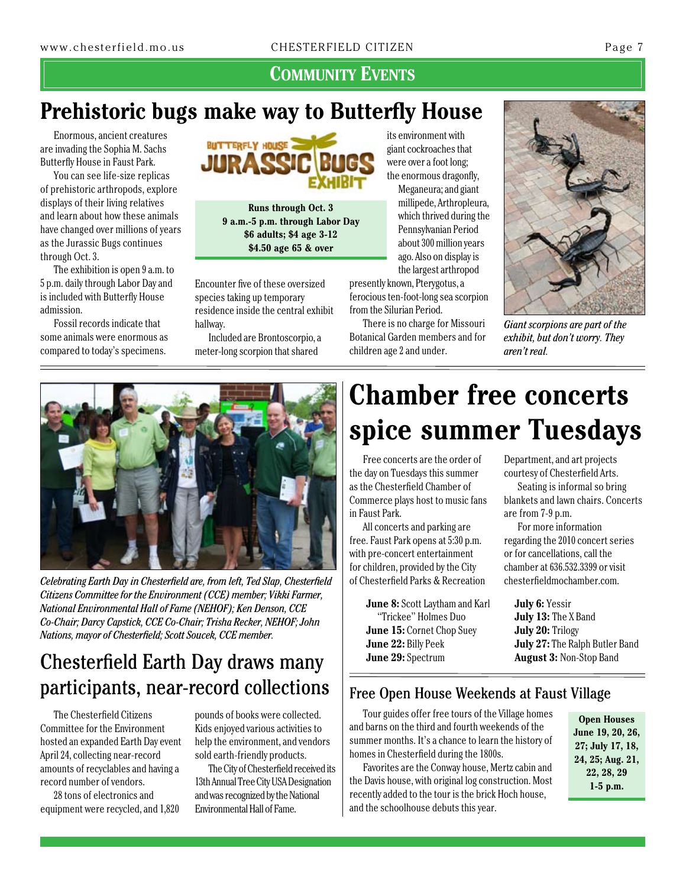**Community Events**

## **Prehistoric bugs make way to Butterfly House**

Enormous, ancient creatures are invading the Sophia M. Sachs Butterfly House in Faust Park.

You can see life-size replicas of prehistoric arthropods, explore displays of their living relatives and learn about how these animals have changed over millions of years as the Jurassic Bugs continues through Oct. 3.

The exhibition is open 9 a.m. to 5 p.m. daily through Labor Day and is included with Butterfly House admission.

Fossil records indicate that some animals were enormous as compared to today's specimens.



**Runs through Oct. 3 9 a.m.-5 p.m. through Labor Day \$6 adults; \$4 age 3-12 \$4.50 age 65 & over**

Encounter five of these oversized species taking up temporary residence inside the central exhibit hallway.

Included are Brontoscorpio, a meter-long scorpion that shared

its environment with giant cockroaches that were over a foot long; the enormous dragonfly, Meganeura; and giant millipede, Arthropleura, which thrived during the Pennsylvanian Period about 300 million years ago. Also on display is

the largest arthropod presently known, Pterygotus, a ferocious ten-foot-long sea scorpion from the Silurian Period.

There is no charge for Missouri Botanical Garden members and for children age 2 and under.



*Giant scorpions are part of the exhibit, but don't worry. They aren't real.*



*Celebrating Earth Day in Chesterfield are, from left, Ted Slap, Chesterfield Citizens Committee for the Environment (CCE) member; Vikki Farmer, National Environmental Hall of Fame (NEHOF); Ken Denson, CCE Co-Chair; Darcy Capstick, CCE Co-Chair; Trisha Recker, NEHOF; John Nations, mayor of Chesterfield; Scott Soucek, CCE member.*

### Chesterfield Earth Day draws many participants, near-record collections

The Chesterfield Citizens Committee for the Environment hosted an expanded Earth Day event April 24, collecting near-record amounts of recyclables and having a record number of vendors.

28 tons of electronics and equipment were recycled, and 1,820

pounds of books were collected. Kids enjoyed various activities to help the environment, and vendors sold earth-friendly products.

The City of Chesterfield received its 13th Annual Tree City USA Designation and was recognized by the National Environmental Hall of Fame.

# **Chamber free concerts spice summer Tuesdays**

Free concerts are the order of the day on Tuesdays this summer as the Chesterfield Chamber of Commerce plays host to music fans in Faust Park.

All concerts and parking are free. Faust Park opens at 5:30 p.m. with pre-concert entertainment for children, provided by the City of Chesterfield Parks & Recreation

> **June 8:** Scott Laytham and Karl "Trickee" Holmes Duo **June 15:** Cornet Chop Suey **June 22:** Billy Peek **June 29:** Spectrum

Department, and art projects courtesy of Chesterfield Arts.

Seating is informal so bring blankets and lawn chairs. Concerts are from 7-9 p.m.

For more information regarding the 2010 concert series or for cancellations, call the chamber at 636.532.3399 or visit chesterfieldmochamber.com.

**July 6:** Yessir **July 13:** The X Band **July 20:** Trilogy **July 27:** The Ralph Butler Band **August 3:** Non-Stop Band

#### Free Open House Weekends at Faust Village

Tour guides offer free tours of the Village homes and barns on the third and fourth weekends of the summer months. It's a chance to learn the history of homes in Chesterfield during the 1800s.

Favorites are the Conway house, Mertz cabin and the Davis house, with original log construction. Most recently added to the tour is the brick Hoch house, and the schoolhouse debuts this year.

**Open Houses June 19, 20, 26, 27; July 17, 18, 24, 25; Aug. 21, 22, 28, 29 1-5 p.m.**